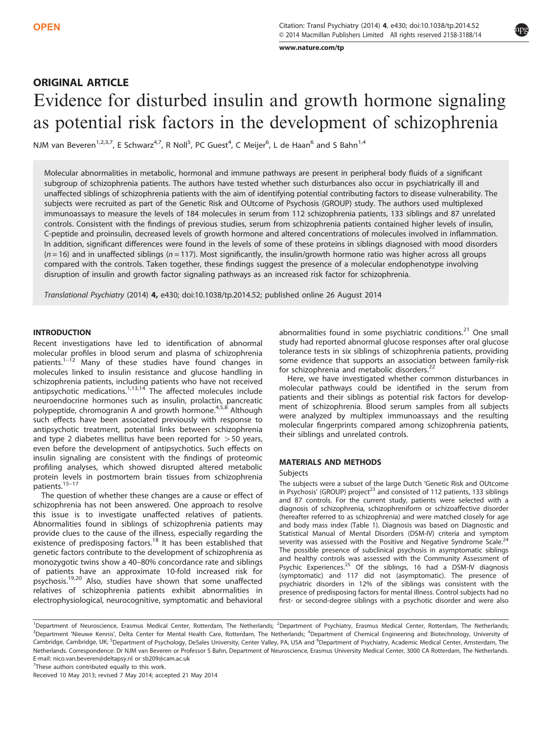[www.nature.com/tp](http://www.nature.com/tp)

# ORIGINAL ARTICLE Evidence for disturbed insulin and growth hormone signaling as potential risk factors in the development of schizophrenia

NJM van Beveren<sup>1,2,3,7</sup>, E Schwarz<sup>4,7</sup>, R Noll<sup>5</sup>, PC Guest<sup>4</sup>, C Meijer<sup>6</sup>, L de Haan<sup>6</sup> and S Bahn<sup>1,4</sup>

Molecular abnormalities in metabolic, hormonal and immune pathways are present in peripheral body fluids of a significant subgroup of schizophrenia patients. The authors have tested whether such disturbances also occur in psychiatrically ill and unaffected siblings of schizophrenia patients with the aim of identifying potential contributing factors to disease vulnerability. The subjects were recruited as part of the Genetic Risk and OUtcome of Psychosis (GROUP) study. The authors used multiplexed immunoassays to measure the levels of 184 molecules in serum from 112 schizophrenia patients, 133 siblings and 87 unrelated controls. Consistent with the findings of previous studies, serum from schizophrenia patients contained higher levels of insulin, C-peptide and proinsulin, decreased levels of growth hormone and altered concentrations of molecules involved in inflammation. In addition, significant differences were found in the levels of some of these proteins in siblings diagnosed with mood disorders  $(n=16)$  and in unaffected siblings  $(n=117)$ . Most significantly, the insulin/growth hormone ratio was higher across all groups compared with the controls. Taken together, these findings suggest the presence of a molecular endophenotype involving disruption of insulin and growth factor signaling pathways as an increased risk factor for schizophrenia.

Translational Psychiatry (2014) 4, e430; doi:10.1038/tp.2014.52; published online 26 August 2014

## **INTRODUCTION**

Recent investigations have led to identification of abnormal molecular profiles in blood serum and plasma of schizophrenia patients.<sup>1-[12](#page-3-0)</sup> Many of these studies have found changes in molecules linked to insulin resistance and glucose handling in schizophrenia patients, including patients who have not received antipsychotic medications.<sup>[1,13,14](#page-3-0)</sup> The affected molecules include neuroendocrine hormones such as insulin, prolactin, pancreatic polypeptide, chromogranin A and growth hormone.<sup>[4,5](#page-3-0),[8](#page-3-0)</sup> Although such effects have been associated previously with response to antipsychotic treatment, potential links between schizophrenia and type 2 diabetes mellitus have been reported for  $>$  50 years, even before the development of antipsychotics. Such effects on insulin signaling are consistent with the findings of proteomic profiling analyses, which showed disrupted altered metabolic protein levels in postmortem brain tissues from schizophrenia patients.<sup>15–[17](#page-3-0)</sup>

The question of whether these changes are a cause or effect of schizophrenia has not been answered. One approach to resolve this issue is to investigate unaffected relatives of patients. Abnormalities found in siblings of schizophrenia patients may provide clues to the cause of the illness, especially regarding the existence of predisposing factors.[18](#page-3-0) It has been established that genetic factors contribute to the development of schizophrenia as monozygotic twins show a 40–80% concordance rate and siblings of patients have an approximate 10-fold increased risk for psychosis.[19](#page-3-0),[20](#page-3-0) Also, studies have shown that some unaffected relatives of schizophrenia patients exhibit abnormalities in electrophysiological, neurocognitive, symptomatic and behavioral abnormalities found in some psychiatric conditions.<sup>[21](#page-3-0)</sup> One small study had reported abnormal glucose responses after oral glucose tolerance tests in six siblings of schizophrenia patients, providing some evidence that supports an association between family-risk for schizophrenia and metabolic disorders.<sup>[22](#page-3-0)</sup>

Here, we have investigated whether common disturbances in molecular pathways could be identified in the serum from patients and their siblings as potential risk factors for development of schizophrenia. Blood serum samples from all subjects were analyzed by multiplex immunoassays and the resulting molecular fingerprints compared among schizophrenia patients, their siblings and unrelated controls.

### MATERIALS AND METHODS

#### Subjects

The subjects were a subset of the large Dutch 'Genetic Risk and OUtcome in Psychosis' (GROUP) project<sup>[23](#page-3-0)</sup> and consisted of 112 patients, 133 siblings and 87 controls. For the current study, patients were selected with a diagnosis of schizophrenia, schizophreniform or schizoaffective disorder (hereafter referred to as schizophrenia) and were matched closely for age and body mass index [\(Table 1](#page-1-0)). Diagnosis was based on Diagnostic and Statistical Manual of Mental Disorders (DSM-IV) criteria and symptom severity was assessed with the Positive and Negative Syndrome Scale.<sup>[24](#page-3-0)</sup> The possible presence of subclinical psychosis in asymptomatic siblings and healthy controls was assessed with the Community Assessment of Psychic Experiences.<sup>[25](#page-3-0)</sup> Of the siblings, 16 had a DSM-IV diagnosis (symptomatic) and 117 did not (asymptomatic). The presence of psychiatric disorders in 12% of the siblings was consistent with the presence of predisposing factors for mental illness. Control subjects had no first- or second-degree siblings with a psychotic disorder and were also

 $7$ These authors contributed equally to this work.

<sup>&</sup>lt;sup>1</sup>Department of Neuroscience, Erasmus Medical Center, Rotterdam, The Netherlands; <sup>2</sup>Department of Psychiatry, Erasmus Medical Center, Rotterdam, The Netherlands; <sup>3</sup>Department 'Nieuwe Kennis', Delta Center for Mental Health Care, Rotterdam, The Netherlands; <sup>4</sup>Department of Chemical Engineering and Biotechnology, University of Cambridge, Cambridge, UK; <sup>5</sup>Department of Psychology, DeSales University, Center Valley, PA, USA and <sup>6</sup>Department of Psychiatry, Academic Medical Center, Amsterdam, The Netherlands. Correspondence: Dr NJM van Beveren or Professor S Bahn, Department of Neuroscience, Erasmus University Medical Center, 3000 CA Rotterdam, The Netherlands. E-mail: [nico.van.beveren@deltapsy.nl](mailto:nico.van.beveren@deltapsy.nl) or [sb209@cam.ac.uk](mailto:sb209@cam.ac.uk)

Received 10 May 2013; revised 7 May 2014; accepted 21 May 2014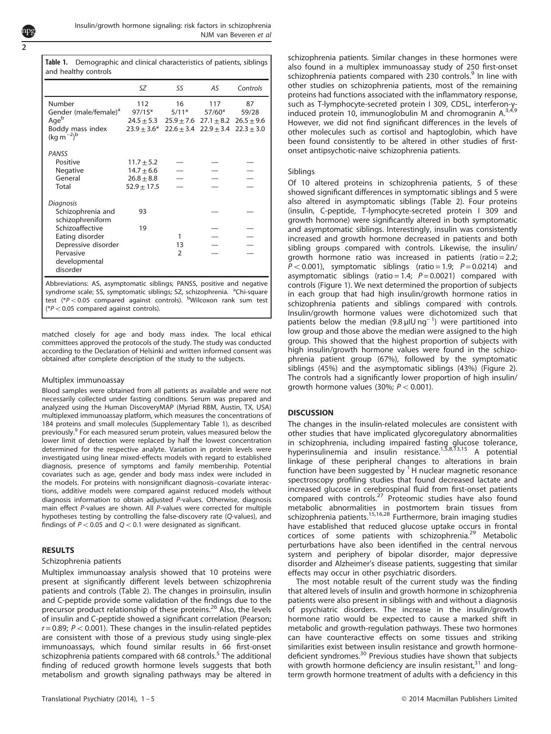and healthy controls

<span id="page-1-0"></span>Table 1. Demographic and clinical characteristics of patients, siblings

| and nearily controls                  |                 |                |                                              |          |  |
|---------------------------------------|-----------------|----------------|----------------------------------------------|----------|--|
|                                       | SΖ              | SS             | AS                                           | Controls |  |
| Number                                | 112             | 16             | 117                                          | 87       |  |
| Gender (male/female) <sup>a</sup>     | $97/15*$        | $5/11*$        | 57/60*                                       | 59/28    |  |
| Age <sup>b</sup>                      | $24.5 \pm 5.3$  |                | $25.9 \pm 7.6$ $27.1 \pm 8.2$ $26.5 \pm 9.6$ |          |  |
| Boddy mass index<br>$(kg m^{-2})^b$   | $23.9 \pm 3.6*$ |                | $22.6 \pm 3.4$ $22.9 \pm 3.4$ $22.3 \pm 3.0$ |          |  |
| PANSS                                 |                 |                |                                              |          |  |
| Positive                              | $11.7 \pm 5.2$  |                |                                              |          |  |
| Negative                              | $14.7 \pm 6.6$  |                |                                              |          |  |
| General                               | $26.8 \pm 8.8$  |                |                                              |          |  |
| Total                                 | $52.9 \pm 17.5$ |                |                                              |          |  |
| Diagnosis                             |                 |                |                                              |          |  |
| Schizophrenia and<br>schizophreniform | 93              |                |                                              |          |  |
| Schizoaffective                       | 19              |                |                                              |          |  |
| Eating disorder                       |                 | 1              |                                              |          |  |
| Depressive disorder                   |                 | 13             |                                              |          |  |
| Pervasive                             |                 | $\overline{2}$ |                                              |          |  |
| developmental<br>disorder             |                 |                |                                              |          |  |
|                                       |                 |                |                                              |          |  |

Abbreviations: AS, asymptomatic siblings; PANSS, positive and negative syndrome scale; SS, symptomatic siblings; SZ, schizophrenia. <sup>a</sup>Chi-square test (\*P < 0.05 compared against controls). <sup>b</sup>Wilcoxon rank sum test  $(*P<0.05$  compared against controls).

matched closely for age and body mass index. The local ethical committees approved the protocols of the study. The study was conducted according to the Declaration of Helsinki and written informed consent was obtained after complete description of the study to the subjects.

## Multiplex immunoassay

Blood samples were obtained from all patients as available and were not necessarily collected under fasting conditions. Serum was prepared and analyzed using the Human DiscoveryMAP (Myriad RBM, Austin, TX, USA) multiplexed immunoassay platform, which measures the concentrations of 184 proteins and small molecules (Supplementary Table 1), as described previously.<sup>[9](#page-3-0)</sup> For each measured serum protein, values measured below the lower limit of detection were replaced by half the lowest concentration determined for the respective analyte. Variation in protein levels were investigated using linear mixed-effects models with regard to established diagnosis, presence of symptoms and family membership. Potential covariates such as age, gender and body mass index were included in the models. For proteins with nonsignificant diagnosis–covariate interactions, additive models were compared against reduced models without diagnosis information to obtain adjusted P-values. Otherwise, diagnosis main effect P-values are shown. All P-values were corrected for multiple hypotheses testing by controlling the false-discovery rate (Q-values), and findings of  $P < 0.05$  and  $Q < 0.1$  were designated as significant.

## RESULTS

#### Schizophrenia patients

Multiplex immunoassay analysis showed that 10 proteins were present at significantly different levels between schizophrenia patients and controls [\(Table 2\)](#page-2-0). The changes in proinsulin, insulin and C-peptide provide some validation of the findings due to the precursor product relationship of these proteins.[26](#page-3-0) Also, the levels of insulin and C-peptide showed a significant correlation (Pearson;  $r = 0.89$ ;  $P < 0.001$ ). These changes in the insulin-related peptides are consistent with those of a previous study using single-plex immunoassays, which found similar results in 66 first-onset schizophrenia patients compared with 68 controls.<sup>[5](#page-3-0)</sup> The additional finding of reduced growth hormone levels suggests that both metabolism and growth signaling pathways may be altered in schizophrenia patients. Similar changes in these hormones were also found in a multiplex immunoassay study of 250 first-onset schizophrenia patients compared with 230 controls.<sup>[9](#page-3-0)</sup> In line with other studies on schizophrenia patients, most of the remaining proteins had functions associated with the inflammatory response, such as T-lymphocyte-secreted protein I 309, CD5L, interferon-γ-<br>induced protein 10, immunoglobulin M and chromogranin A.<sup>[3,4,9](#page-3-0)</sup> However, we did not find significant differences in the levels of other molecules such as cortisol and haptoglobin, which have been found consistently to be altered in other studies of firstonset antipsychotic-naive schizophrenia patients.

## Siblings

Of 10 altered proteins in schizophrenia patients, 5 of these showed significant differences in symptomatic siblings and 5 were also altered in asymptomatic siblings ([Table 2\)](#page-2-0). Four proteins (insulin, C-peptide, T-lymphocyte-secreted protein I 309 and growth hormone) were significantly altered in both symptomatic and asymptomatic siblings. Interestingly, insulin was consistently increased and growth hormone decreased in patients and both sibling groups compared with controls. Likewise, the insulin/ growth hormone ratio was increased in patients (ratio =  $2.2$ ;  $P < 0.001$ ), symptomatic siblings (ratio = 1.9;  $P = 0.0214$ ) and asymptomatic siblings (ratio = 1.4;  $P = 0.0021$ ) compared with controls [\(Figure 1](#page-2-0)). We next determined the proportion of subjects in each group that had high insulin/growth hormone ratios in schizophrenia patients and siblings compared with controls. Insulin/growth hormone values were dichotomized such that patients below the median (9.8  $\mu$ IU ng<sup>-1</sup>) were partitioned into low group and those above the median were assigned to the high group. This showed that the highest proportion of subjects with high insulin/growth hormone values were found in the schizophrenia patient group (67%), followed by the symptomatic siblings (45%) and the asymptomatic siblings (43%) ([Figure 2](#page-2-0)). The controls had a significantly lower proportion of high insulin/ growth hormone values (30%;  $P < 0.001$ ).

## **DISCUSSION**

The changes in the insulin-related molecules are consistent with other studies that have implicated glycoregulatory abnormalities in schizophrenia, including impaired fasting glucose tolerance, hyperinsulinemia and insulin resistance.<sup>[1](#page-3-0),[5](#page-3-0),[8,13](#page-3-0),[15](#page-3-0)</sup> A potential linkage of these peripheral changes to alterations in brain function have been suggested by  $1$  H nuclear magnetic resonance spectroscopy profiling studies that found decreased lactate and increased glucose in cerebrospinal fluid from first-onset patients compared with controls.<sup>[27](#page-3-0)</sup> Proteomic studies have also found metabolic abnormalities in postmortem brain tissues from schizophrenia patients.[15](#page-3-0),[16](#page-3-0),[28](#page-3-0) Furthermore, brain imaging studies have established that reduced glucose uptake occurs in frontal cortices of some patients with schizophrenia.<sup>[29](#page-3-0)</sup> Metabolic perturbations have also been identified in the central nervous system and periphery of bipolar disorder, major depressive disorder and Alzheimer's disease patients, suggesting that similar effects may occur in other psychiatric disorders.

The most notable result of the current study was the finding that altered levels of insulin and growth hormone in schizophrenia patients were also present in siblings with and without a diagnosis of psychiatric disorders. The increase in the insulin/growth hormone ratio would be expected to cause a marked shift in metabolic and growth-regulation pathways. These two hormones can have counteractive effects on some tissues and striking similarities exist between insulin resistance and growth hormonedeficient syndromes.[30](#page-3-0) Previous studies have shown that subjects with growth hormone deficiency are insulin resistant, $31$  and longterm growth hormone treatment of adults with a deficiency in this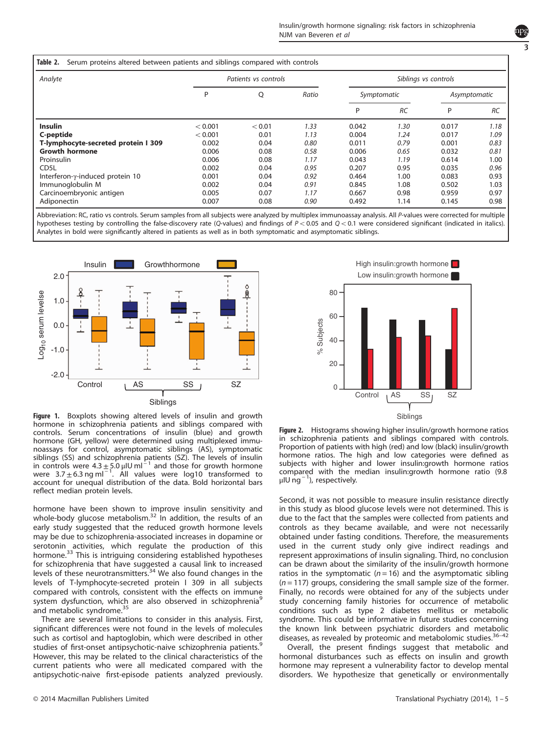3

|  |  | Table 2. Serum proteins altered between patients and siblings compared with controls |  |  |  |  |  |
|--|--|--------------------------------------------------------------------------------------|--|--|--|--|--|
|--|--|--------------------------------------------------------------------------------------|--|--|--|--|--|

<span id="page-2-0"></span>

| Analyte                             | Patients vs controls |        |       | Siblings vs controls |           |              |           |
|-------------------------------------|----------------------|--------|-------|----------------------|-----------|--------------|-----------|
|                                     | P                    | Q      | Ratio | Symptomatic          |           | Asymptomatic |           |
|                                     |                      |        |       | P                    | <b>RC</b> | P            | <b>RC</b> |
| <b>Insulin</b>                      | < 0.001              | < 0.01 | 1.33  | 0.042                | 1.30      | 0.017        | 1.18      |
| C-peptide                           | < 0.001              | 0.01   | 1.13  | 0.004                | 1.24      | 0.017        | 1.09      |
| T-lymphocyte-secreted protein I 309 | 0.002                | 0.04   | 0.80  | 0.011                | 0.79      | 0.001        | 0.83      |
| <b>Growth hormone</b>               | 0.006                | 0.08   | 0.58  | 0.006                | 0.65      | 0.032        | 0.81      |
| Proinsulin                          | 0.006                | 0.08   | 1.17  | 0.043                | 1.19      | 0.614        | 1.00      |
| CD <sub>5</sub> L                   | 0.002                | 0.04   | 0.95  | 0.207                | 0.95      | 0.035        | 0.96      |
| Interferon-y-induced protein 10     | 0.001                | 0.04   | 0.92  | 0.464                | 1.00      | 0.083        | 0.93      |
| Immunoglobulin M                    | 0.002                | 0.04   | 0.91  | 0.845                | 1.08      | 0.502        | 1.03      |
| Carcinoembryonic antigen            | 0.005                | 0.07   | 1.17  | 0.667                | 0.98      | 0.959        | 0.97      |
| Adiponectin                         | 0.007                | 0.08   | 0.90  | 0.492                | 1.14      | 0.145        | 0.98      |

Abbreviation: RC, ratio vs controls. Serum samples from all subjects were analyzed by multiplex immunoassay analysis. All P-values were corrected for multiple hypotheses testing by controlling the false-discovery rate (Q-values) and findings of  $P < 0.05$  and  $Q < 0.1$  were considered significant (indicated in italics). Analytes in bold were significantly altered in patients as well as in both symptomatic and asymptomatic siblings.



Figure 1. Boxplots showing altered levels of insulin and growth hormone in schizophrenia patients and siblings compared with controls. Serum concentrations of insulin (blue) and growth hormone (GH, yellow) were determined using multiplexed immunoassays for control, asymptomatic siblings (AS), symptomatic siblings (SS) and schizophrenia patients (SZ). The levels of insulin<br>in controls were 4.3  $\pm$  5.0  $\mu$ IU ml $^{-1}$  and those for growth hormone were  $3.7 \pm 6.3$  ng ml<sup>-1</sup>. All values were log10 transformed to account for unequal distribution of the data. Bold horizontal bars reflect median protein levels.

hormone have been shown to improve insulin sensitivity and whole-body glucose metabolism.<sup>[32](#page-3-0)</sup> In addition, the results of an early study suggested that the reduced growth hormone levels may be due to schizophrenia-associated increases in dopamine or serotonin activities, which regulate the production of this hormone.<sup>[33](#page-3-0)</sup> This is intriguing considering established hypotheses for schizophrenia that have suggested a causal link to increased levels of these neurotransmitters.<sup>[34](#page-4-0)</sup> We also found changes in the levels of T-lymphocyte-secreted protein I 309 in all subjects compared with controls, consistent with the effects on immune system dysfunction, which are also observed in schizophrenia<sup>[9](#page-3-0)</sup> and metabolic syndrome.<sup>35</sup>

There are several limitations to consider in this analysis. First, significant differences were not found in the levels of molecules such as cortisol and haptoglobin, which were described in other studies of first-onset antipsychotic-naive schizophrenia patients.<sup>[9](#page-3-0)</sup> However, this may be related to the clinical characteristics of the current patients who were all medicated compared with the antipsychotic-naive first-episode patients analyzed previously.



Figure 2. Histograms showing higher insulin/growth hormone ratios in schizophrenia patients and siblings compared with controls. Proportion of patients with high (red) and low (black) insulin/growth hormone ratios. The high and low categories were defined as subjects with higher and lower insulin:growth hormone ratios compared with the median insulin:growth hormone ratio (9.8 μIU ng<sup>-1</sup>), respectively.

Second, it was not possible to measure insulin resistance directly in this study as blood glucose levels were not determined. This is due to the fact that the samples were collected from patients and controls as they became available, and were not necessarily obtained under fasting conditions. Therefore, the measurements used in the current study only give indirect readings and represent approximations of insulin signaling. Third, no conclusion can be drawn about the similarity of the insulin/growth hormone ratios in the symptomatic ( $n = 16$ ) and the asymptomatic sibling  $(n = 117)$  groups, considering the small sample size of the former. Finally, no records were obtained for any of the subjects under study concerning family histories for occurrence of metabolic conditions such as type 2 diabetes mellitus or metabolic syndrome. This could be informative in future studies concerning the known link between psychiatric disorders and meta[bolic](#page-4-0) diseases, as revealed by proteomic and metabolomic studies. $36-42$ 

Overall, the present findings suggest that metabolic and hormonal disturbances such as effects on insulin and growth hormone may represent a vulnerability factor to develop mental disorders. We hypothesize that genetically or environmentally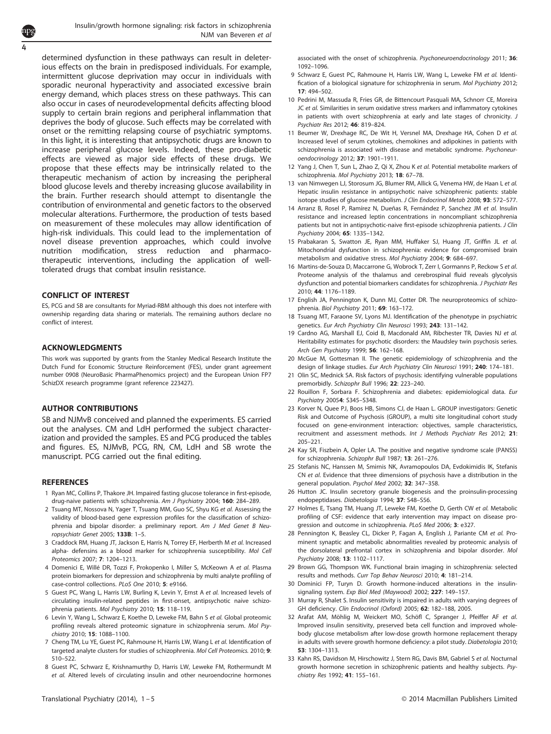<span id="page-3-0"></span>determined dysfunction in these pathways can result in deleterious effects on the brain in predisposed individuals. For example, intermittent glucose deprivation may occur in individuals with sporadic neuronal hyperactivity and associated excessive brain energy demand, which places stress on these pathways. This can also occur in cases of neurodevelopmental deficits affecting blood supply to certain brain regions and peripheral inflammation that deprives the body of glucose. Such effects may be correlated with onset or the remitting relapsing course of psychiatric symptoms. In this light, it is interesting that antipsychotic drugs are known to increase peripheral glucose levels. Indeed, these pro-diabetic effects are viewed as major side effects of these drugs. We propose that these effects may be intrinsically related to the therapeutic mechanism of action by increasing the peripheral blood glucose levels and thereby increasing glucose availability in the brain. Further research should attempt to disentangle the contribution of environmental and genetic factors to the observed molecular alterations. Furthermore, the production of tests based on measurement of these molecules may allow identification of high-risk individuals. This could lead to the implementation of novel disease prevention approaches, which could involve nutrition modification, stress reduction and pharmacotherapeutic interventions, including the application of welltolerated drugs that combat insulin resistance.

#### CONFLICT OF INTEREST

ES, PCG and SB are consultants for Myriad-RBM although this does not interfere with ownership regarding data sharing or materials. The remaining authors declare no conflict of interest.

#### ACKNOWLEDGMENTS

This work was supported by grants from the Stanley Medical Research Institute the Dutch Fund for Economic Structure Reinforcement (FES), under grant agreement number 0908 (NeuroBasic PharmaPhenomics project) and the European Union FP7 SchizDX research programme (grant reference 223427).

#### AUTHOR CONTRIBUTIONS

SB and NJMvB conceived and planned the experiments. ES carried out the analyses. CM and LdH performed the subject characterization and provided the samples. ES and PCG produced the tables and figures. ES, NJMvB, PCG, RN, CM, LdH and SB wrote the manuscript. PCG carried out the final editing.

### **REFERENCES**

- 1 Ryan MC, Collins P, Thakore JH. Impaired fasting glucose tolerance in first-episode, drug-naive patients with schizophrenia. Am J Psychiatry 2004; 160: 284-289.
- 2 Tsuang MT, Nossova N, Yager T, Tsuang MM, Guo SC, Shyu KG et al. Assessing the validity of blood-based gene expression profiles for the classification of schizophrenia and bipolar disorder: a preliminary report. Am J Med Genet B Neuropsychiatr Genet 2005; 133B: 1–5.
- 3 Craddock RM, Huang JT, Jackson E, Harris N, Torrey EF, Herberth M et al. Increased alpha- defensins as a blood marker for schizophrenia susceptibility. Mol Cell Proteomics 2007; 7: 1204–1213.
- 4 Domenici E, Willé DR, Tozzi F, Prokopenko I, Miller S, McKeown A et al. Plasma protein biomarkers for depression and schizophrenia by multi analyte profiling of case-control collections. PLoS One 2010; 5: e9166.
- 5 Guest PC, Wang L, Harris LW, Burling K, Levin Y, Ernst A et al. Increased levels of circulating insulin-related peptides in first-onset, antipsychotic naive schizophrenia patients. Mol Psychiatry 2010; 15: 118–119.
- 6 Levin Y, Wang L, Schwarz E, Koethe D, Leweke FM, Bahn S et al. Global proteomic profiling reveals altered proteomic signature in schizophrenia serum. Mol Psychiatry 2010; 15: 1088–1100.
- 7 Cheng TM, Lu YE, Guest PC, Rahmoune H, Harris LW, Wang L et al. Identification of targeted analyte clusters for studies of schizophrenia. Mol Cell Proteomics. 2010; 9: 510–522.
- 8 Guest PC, Schwarz E, Krishnamurthy D, Harris LW, Leweke FM, Rothermundt M et al. Altered levels of circulating insulin and other neuroendocrine hormones

associated with the onset of schizophrenia. Psychoneuroendocrinology 2011; 36: 1092–1096.

- 9 Schwarz E, Guest PC, Rahmoune H, Harris LW, Wang L, Leweke FM et al. Identification of a biological signature for schizophrenia in serum. Mol Psychiatry 2012; 17: 494–502.
- 10 Pedrini M, Massuda R, Fries GR, de Bittencourt Pasquali MA, Schnorr CE, Moreira JC et al. Similarities in serum oxidative stress markers and inflammatory cytokines in patients with overt schizophrenia at early and late stages of chronicity. J Psychiatr Res 2012; 46: 819–824.
- 11 Beumer W, Drexhage RC, De Wit H, Versnel MA, Drexhage HA, Cohen D et al. Increased level of serum cytokines, chemokines and adipokines in patients with schizophrenia is associated with disease and metabolic syndrome. Psychoneuroendocrinology 2012; 37: 1901–1911.
- 12 Yang J, Chen T, Sun L, Zhao Z, Qi X, Zhou K et al. Potential metabolite markers of schizophrenia. Mol Psychiatry 2013; 18: 67–78.
- 13 van Nimwegen LJ, Storosum JG, Blumer RM, Allick G, Venema HW, de Haan L et al. Hepatic insulin resistance in antipsychotic naive schizophrenic patients: stable isotope studies of glucose metabolism. J Clin Endocrinol Metab 2008; 93: 572-577.
- 14 Arranz B, Rosel P, Ramírez N, Dueñas R, Fernández P, Sanchez JM et al. Insulin resistance and increased leptin concentrations in noncompliant schizophrenia patients but not in antipsychotic-naive first-episode schizophrenia patients. J Clin Psychiatry 2004; 65: 1335–1342.
- 15 Prabakaran S, Swatton JE, Ryan MM, Huffaker SJ, Huang JT, Griffin JL et al. Mitochondrial dysfunction in schizophrenia: evidence for compromised brain metabolism and oxidative stress. Mol Psychiatry 2004; 9: 684–697.
- 16 Martins-de-Souza D, Maccarrone G, Wobrock T, Zerr I, Gormanns P, Reckow S et al. Proteome analysis of the thalamus and cerebrospinal fluid reveals glycolysis dysfunction and potential biomarkers candidates for schizophrenia. J Psychiatr Res 2010; 44: 1176–1189.
- 17 English JA, Pennington K, Dunn MJ, Cotter DR. The neuroproteomics of schizophrenia. Biol Psychiatry 2011; 69: 163–172.
- 18 Tsuang MT, Faraone SV, Lyons MJ. Identification of the phenotype in psychiatric genetics. Eur Arch Psychiatry Clin Neurosci 1993; 243: 131–142.
- 19 Cardno AG, Marshall EJ, Coid B, Macdonald AM, Ribchester TR, Davies NJ et al. Heritability estimates for psychotic disorders: the Maudsley twin psychosis series. Arch Gen Psychiatry 1999; 56: 162–168.
- 20 McGue M, Gottesman II. The genetic epidemiology of schizophrenia and the design of linkage studies. Eur Arch Psychiatry Clin Neurosci 1991; 240: 174-181.
- 21 Olin SC, Mednick SA. Risk factors of psychosis: identifying vulnerable populations premorbidly. Schizophr Bull 1996; 22: 223–240.
- 22 Rouillon F, Sorbara F. Schizophrenia and diabetes: epidemiological data. Eur Psychiatry 20054: S345–S348.
- 23 Korver N, Quee PJ, Boos HB, Simons CJ, de Haan L. GROUP investigators: Genetic Risk and Outcome of Psychosis (GROUP), a multi site longitudinal cohort study focused on gene-environment interaction: objectives, sample characteristics, recruitment and assessment methods. Int J Methods Psychiatr Res 2012; 21: 205–221.
- 24 Kay SR, Fiszbein A, Opler LA. The positive and negative syndrome scale (PANSS) for schizophrenia. Schizophr Bull 1987; 13: 261–276.
- 25 Stefanis NC, Hanssen M, Smirnis NK, Avramopoulos DA, Evdokimidis IK, Stefanis CN et al. Evidence that three dimensions of psychosis have a distribution in the general population. Psychol Med 2002; 32: 347–358.
- 26 Hutton JC. Insulin secretory granule biogenesis and the proinsulin-processing endopeptidases. Diabetologia 1994; 37: S48–S56.
- Holmes E, Tsang TM, Huang JT, Leweke FM, Koethe D, Gerth CW et al. Metabolic profiling of CSF: evidence that early intervention may impact on disease progression and outcome in schizophrenia. PLoS Med 2006; 3: e327.
- 28 Pennington K, Beasley CL, Dicker P, Fagan A, English J, Pariante CM et al. Prominent synaptic and metabolic abnormalities revealed by proteomic analysis of the dorsolateral prefrontal cortex in schizophrenia and bipolar disorder. Mol Psychiatry 2008; 13: 1102–1117.
- 29 Brown GG, Thompson WK. Functional brain imaging in schizophrenia: selected results and methods. Curr Top Behav Neurosci 2010; 4: 181–214.
- 30 Dominici FP, Turyn D. Growth hormone-induced alterations in the insulinsignaling system. Exp Biol Med (Maywood) 2002; 227: 149–157.
- 31 Murray R, Shalet S. Insulin sensitivity is impaired in adults with varying degrees of GH deficiency. Clin Endocrinol (Oxford) 2005; 62: 182–188, 2005.
- 32 Arafat AM, Möhlig M, Weickert MO, Schöfl C, Spranger J, Pfeiffer AF et al. Improved insulin sensitivity, preserved beta cell function and improved wholebody glucose metabolism after low-dose growth hormone replacement therapy in adults with severe growth hormone deficiency: a pilot study. Diabetologia 2010; 53: 1304–1313.
- 33 Kahn RS, Davidson M, Hirschowitz J, Stern RG, Davis BM, Gabriel S et al. Nocturnal growth hormone secretion in schizophrenic patients and healthy subjects. Psychiatry Res 1992; 41: 155–161.